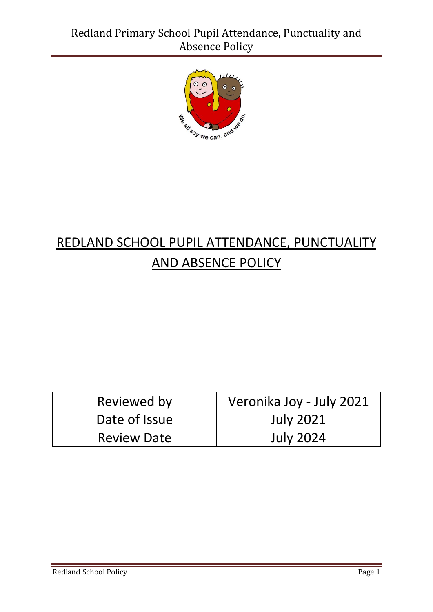

# REDLAND SCHOOL PUPIL ATTENDANCE, PUNCTUALITY AND ABSENCE POLICY

| Reviewed by        | Veronika Joy - July 2021 |
|--------------------|--------------------------|
| Date of Issue      | <b>July 2021</b>         |
| <b>Review Date</b> | <b>July 2024</b>         |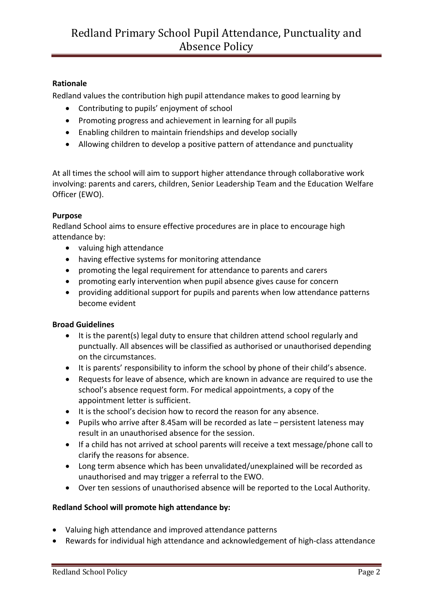# **Rationale**

Redland values the contribution high pupil attendance makes to good learning by

- Contributing to pupils' enjoyment of school
- Promoting progress and achievement in learning for all pupils
- Enabling children to maintain friendships and develop socially
- Allowing children to develop a positive pattern of attendance and punctuality

At all times the school will aim to support higher attendance through collaborative work involving: parents and carers, children, Senior Leadership Team and the Education Welfare Officer (EWO).

## **Purpose**

Redland School aims to ensure effective procedures are in place to encourage high attendance by:

- valuing high attendance
- having effective systems for monitoring attendance
- promoting the legal requirement for attendance to parents and carers
- promoting early intervention when pupil absence gives cause for concern
- providing additional support for pupils and parents when low attendance patterns become evident

#### **Broad Guidelines**

- It is the parent(s) legal duty to ensure that children attend school regularly and punctually. All absences will be classified as authorised or unauthorised depending on the circumstances.
- It is parents' responsibility to inform the school by phone of their child's absence.
- Requests for leave of absence, which are known in advance are required to use the school's absence request form. For medical appointments, a copy of the appointment letter is sufficient.
- It is the school's decision how to record the reason for any absence.
- Pupils who arrive after 8.45am will be recorded as late persistent lateness may result in an unauthorised absence for the session.
- If a child has not arrived at school parents will receive a text message/phone call to clarify the reasons for absence.
- Long term absence which has been unvalidated/unexplained will be recorded as unauthorised and may trigger a referral to the EWO.
- Over ten sessions of unauthorised absence will be reported to the Local Authority.

#### **Redland School will promote high attendance by:**

- Valuing high attendance and improved attendance patterns
- Rewards for individual high attendance and acknowledgement of high-class attendance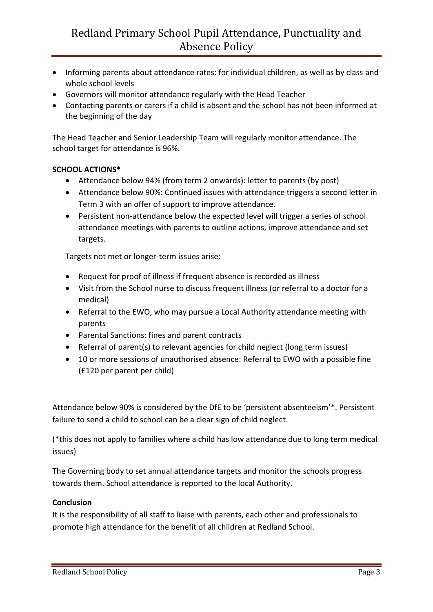- Informing parents about attendance rates: for individual children, as well as by class and whole school levels
- Governors will monitor attendance regularly with the Head Teacher
- Contacting parents or carers if a child is absent and the school has not been informed at the beginning of the day

The Head Teacher and Senior Leadership Team will regularly monitor attendance. The school target for attendance is 96%.

## **SCHOOL ACTIONS\***

- Attendance below 94% (from term 2 onwards): letter to parents (by post)
- Attendance below 90%: Continued issues with attendance triggers a second letter in Term 3 with an offer of support to improve attendance.
- Persistent non-attendance below the expected level will trigger a series of school attendance meetings with parents to outline actions, improve attendance and set targets.

Targets not met or longer-term issues arise:

- Request for proof of illness if frequent absence is recorded as illness
- Visit from the School nurse to discuss frequent illness (or referral to a doctor for a medical)
- Referral to the EWO, who may pursue a Local Authority attendance meeting with parents
- Parental Sanctions: fines and parent contracts
- Referral of parent(s) to relevant agencies for child neglect (long term issues)
- 10 or more sessions of unauthorised absence: Referral to EWO with a possible fine (£120 per parent per child)

Attendance below 90% is considered by the DfE to be 'persistent absenteeism'\*. Persistent failure to send a child to school can be a clear sign of child neglect.

(\*this does not apply to families where a child has low attendance due to long term medical issues)

The Governing body to set annual attendance targets and monitor the schools progress towards them. School attendance is reported to the local Authority.

#### **Conclusion**

It is the responsibility of all staff to liaise with parents, each other and professionals to promote high attendance for the benefit of all children at Redland School.